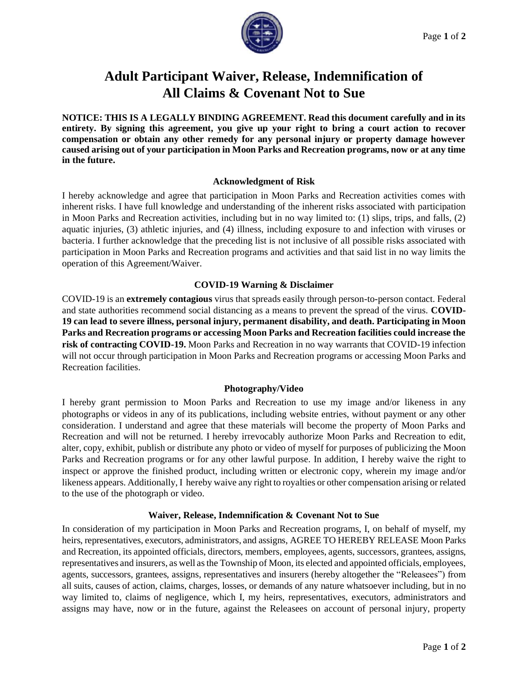

# **Adult Participant Waiver, Release, Indemnification of All Claims & Covenant Not to Sue**

**NOTICE: THIS IS A LEGALLY BINDING AGREEMENT. Read this document carefully and in its entirety. By signing this agreement, you give up your right to bring a court action to recover compensation or obtain any other remedy for any personal injury or property damage however caused arising out of your participation in Moon Parks and Recreation programs, now or at any time in the future.**

## **Acknowledgment of Risk**

I hereby acknowledge and agree that participation in Moon Parks and Recreation activities comes with inherent risks. I have full knowledge and understanding of the inherent risks associated with participation in Moon Parks and Recreation activities, including but in no way limited to: (1) slips, trips, and falls, (2) aquatic injuries, (3) athletic injuries, and (4) illness, including exposure to and infection with viruses or bacteria. I further acknowledge that the preceding list is not inclusive of all possible risks associated with participation in Moon Parks and Recreation programs and activities and that said list in no way limits the operation of this Agreement/Waiver.

## **COVID-19 Warning & Disclaimer**

COVID-19 is an **extremely contagious** virus that spreads easily through person-to-person contact. Federal and state authorities recommend social distancing as a means to prevent the spread of the virus. **COVID-19 can lead to severe illness, personal injury, permanent disability, and death. Participating in Moon Parks and Recreation programs or accessing Moon Parks and Recreation facilities could increase the risk of contracting COVID-19.** Moon Parks and Recreation in no way warrants that COVID-19 infection will not occur through participation in Moon Parks and Recreation programs or accessing Moon Parks and Recreation facilities.

### **Photography/Video**

I hereby grant permission to Moon Parks and Recreation to use my image and/or likeness in any photographs or videos in any of its publications, including website entries, without payment or any other consideration. I understand and agree that these materials will become the property of Moon Parks and Recreation and will not be returned. I hereby irrevocably authorize Moon Parks and Recreation to edit, alter, copy, exhibit, publish or distribute any photo or video of myself for purposes of publicizing the Moon Parks and Recreation programs or for any other lawful purpose. In addition, I hereby waive the right to inspect or approve the finished product, including written or electronic copy, wherein my image and/or likeness appears. Additionally, I hereby waive any right to royalties or other compensation arising or related to the use of the photograph or video.

### **Waiver, Release, Indemnification & Covenant Not to Sue**

In consideration of my participation in Moon Parks and Recreation programs, I, on behalf of myself, my heirs, representatives, executors, administrators, and assigns, AGREE TO HEREBY RELEASE Moon Parks and Recreation, its appointed officials, directors, members, employees, agents, successors, grantees, assigns, representatives and insurers, as well as the Township of Moon, its elected and appointed officials, employees, agents, successors, grantees, assigns, representatives and insurers (hereby altogether the "Releasees") from all suits, causes of action, claims, charges, losses, or demands of any nature whatsoever including, but in no way limited to, claims of negligence, which I, my heirs, representatives, executors, administrators and assigns may have, now or in the future, against the Releasees on account of personal injury, property